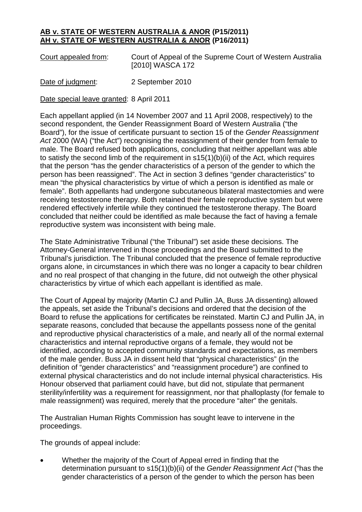## **AB v. STATE OF WESTERN AUSTRALIA & ANOR (P15/2011) AH v. STATE OF WESTERN AUSTRALIA & ANOR (P16/2011)**

Court appealed from: Court of Appeal of the Supreme Court of Western Australia [2010] WASCA 172

Date of judgment: 2 September 2010

Date special leave granted: 8 April 2011

Each appellant applied (in 14 November 2007 and 11 April 2008, respectively) to the second respondent, the Gender Reassignment Board of Western Australia ("the Board"), for the issue of certificate pursuant to section 15 of the *Gender Reassignment Act* 2000 (WA) ("the Act") recognising the reassignment of their gender from female to male. The Board refused both applications, concluding that neither appellant was able to satisfy the second limb of the requirement in s15(1)(b)(ii) of the Act, which requires that the person "has the gender characteristics of a person of the gender to which the person has been reassigned". The Act in section 3 defines "gender characteristics" to mean "the physical characteristics by virtue of which a person is identified as male or female". Both appellants had undergone subcutaneous bilateral mastectomies and were receiving testosterone therapy. Both retained their female reproductive system but were rendered effectively infertile while they continued the testosterone therapy. The Board concluded that neither could be identified as male because the fact of having a female reproductive system was inconsistent with being male.

The State Administrative Tribunal ("the Tribunal") set aside these decisions. The Attorney-General intervened in those proceedings and the Board submitted to the Tribunal's jurisdiction. The Tribunal concluded that the presence of female reproductive organs alone, in circumstances in which there was no longer a capacity to bear children and no real prospect of that changing in the future, did not outweigh the other physical characteristics by virtue of which each appellant is identified as male.

The Court of Appeal by majority (Martin CJ and Pullin JA, Buss JA dissenting) allowed the appeals, set aside the Tribunal's decisions and ordered that the decision of the Board to refuse the applications for certificates be reinstated. Martin CJ and Pullin JA, in separate reasons, concluded that because the appellants possess none of the genital and reproductive physical characteristics of a male, and nearly all of the normal external characteristics and internal reproductive organs of a female, they would not be identified, according to accepted community standards and expectations, as members of the male gender. Buss JA in dissent held that "physical characteristics" (in the definition of "gender characteristics" and "reassignment procedure") are confined to external physical characteristics and do not include internal physical characteristics. His Honour observed that parliament could have, but did not, stipulate that permanent sterility/infertility was a requirement for reassignment, nor that phalloplasty (for female to male reassignment) was required, merely that the procedure "alter" the genitals.

The Australian Human Rights Commission has sought leave to intervene in the proceedings.

The grounds of appeal include:

• Whether the majority of the Court of Appeal erred in finding that the determination pursuant to s15(1)(b)(ii) of the *Gender Reassignment Act* ("has the gender characteristics of a person of the gender to which the person has been